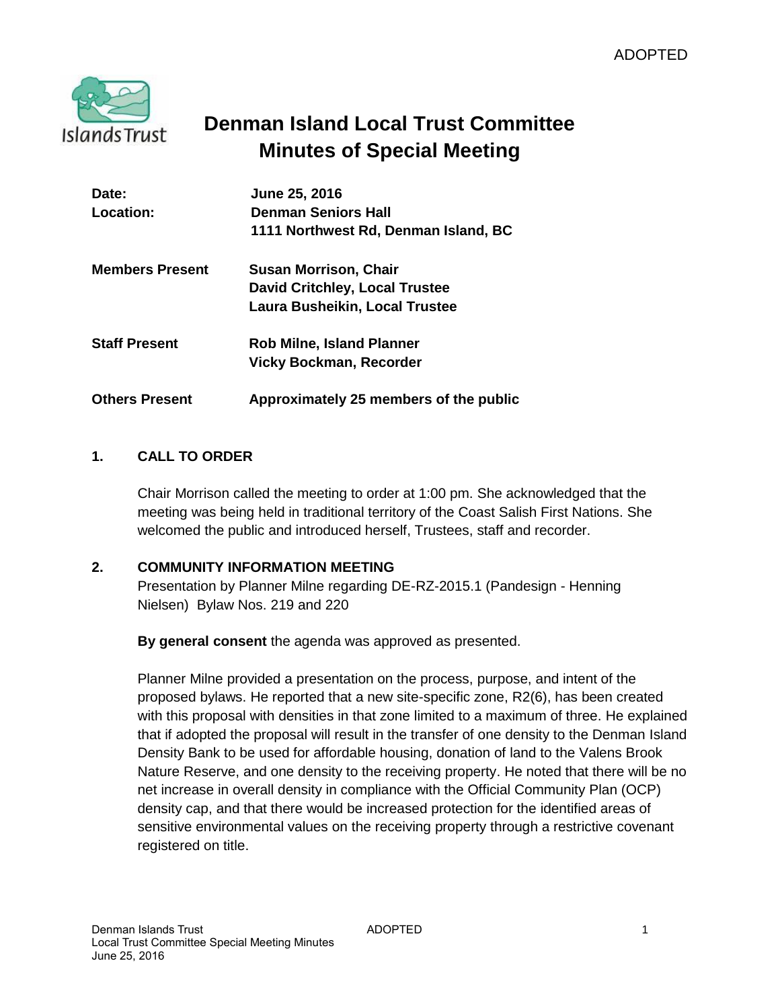

# **Denman Island Local Trust Committee Minutes of Special Meeting**

| Date:                  | June 25, 2016                          |
|------------------------|----------------------------------------|
| Location:              | <b>Denman Seniors Hall</b>             |
|                        | 1111 Northwest Rd, Denman Island, BC   |
| <b>Members Present</b> | <b>Susan Morrison, Chair</b>           |
|                        | <b>David Critchley, Local Trustee</b>  |
|                        | Laura Busheikin, Local Trustee         |
| <b>Staff Present</b>   | <b>Rob Milne, Island Planner</b>       |
|                        | <b>Vicky Bockman, Recorder</b>         |
| <b>Others Present</b>  | Approximately 25 members of the public |

## **1. CALL TO ORDER**

Chair Morrison called the meeting to order at 1:00 pm. She acknowledged that the meeting was being held in traditional territory of the Coast Salish First Nations. She welcomed the public and introduced herself, Trustees, staff and recorder.

#### **2. COMMUNITY INFORMATION MEETING**

Presentation by Planner Milne regarding DE-RZ-2015.1 (Pandesign - Henning Nielsen) Bylaw Nos. 219 and 220

**By general consent** the agenda was approved as presented.

Planner Milne provided a presentation on the process, purpose, and intent of the proposed bylaws. He reported that a new site-specific zone, R2(6), has been created with this proposal with densities in that zone limited to a maximum of three. He explained that if adopted the proposal will result in the transfer of one density to the Denman Island Density Bank to be used for affordable housing, donation of land to the Valens Brook Nature Reserve, and one density to the receiving property. He noted that there will be no net increase in overall density in compliance with the Official Community Plan (OCP) density cap, and that there would be increased protection for the identified areas of sensitive environmental values on the receiving property through a restrictive covenant registered on title.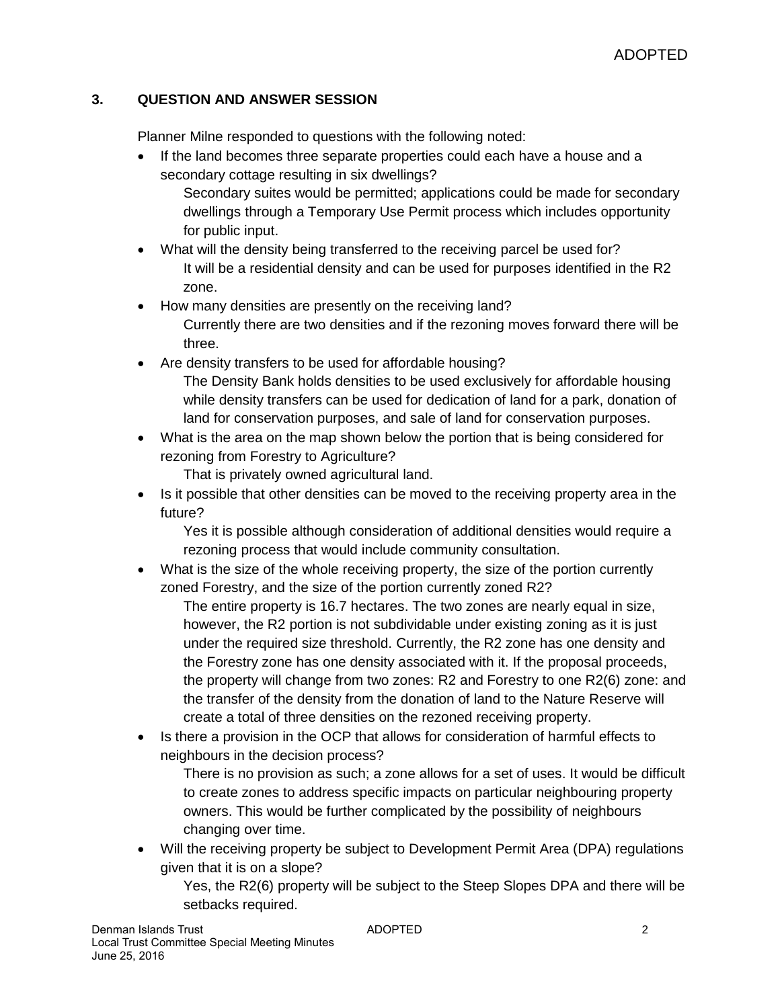## **3. QUESTION AND ANSWER SESSION**

Planner Milne responded to questions with the following noted:

- If the land becomes three separate properties could each have a house and a secondary cottage resulting in six dwellings? Secondary suites would be permitted; applications could be made for secondary dwellings through a Temporary Use Permit process which includes opportunity for public input.
- What will the density being transferred to the receiving parcel be used for? It will be a residential density and can be used for purposes identified in the R2 zone.
- How many densities are presently on the receiving land? Currently there are two densities and if the rezoning moves forward there will be three.
- Are density transfers to be used for affordable housing? The Density Bank holds densities to be used exclusively for affordable housing while density transfers can be used for dedication of land for a park, donation of land for conservation purposes, and sale of land for conservation purposes.
- What is the area on the map shown below the portion that is being considered for rezoning from Forestry to Agriculture?

That is privately owned agricultural land.

 Is it possible that other densities can be moved to the receiving property area in the future?

Yes it is possible although consideration of additional densities would require a rezoning process that would include community consultation.

 What is the size of the whole receiving property, the size of the portion currently zoned Forestry, and the size of the portion currently zoned R2?

The entire property is 16.7 hectares. The two zones are nearly equal in size, however, the R2 portion is not subdividable under existing zoning as it is just under the required size threshold. Currently, the R2 zone has one density and the Forestry zone has one density associated with it. If the proposal proceeds, the property will change from two zones: R2 and Forestry to one R2(6) zone: and the transfer of the density from the donation of land to the Nature Reserve will create a total of three densities on the rezoned receiving property.

• Is there a provision in the OCP that allows for consideration of harmful effects to neighbours in the decision process?

There is no provision as such; a zone allows for a set of uses. It would be difficult to create zones to address specific impacts on particular neighbouring property owners. This would be further complicated by the possibility of neighbours changing over time.

 Will the receiving property be subject to Development Permit Area (DPA) regulations given that it is on a slope?

Yes, the R2(6) property will be subject to the Steep Slopes DPA and there will be setbacks required.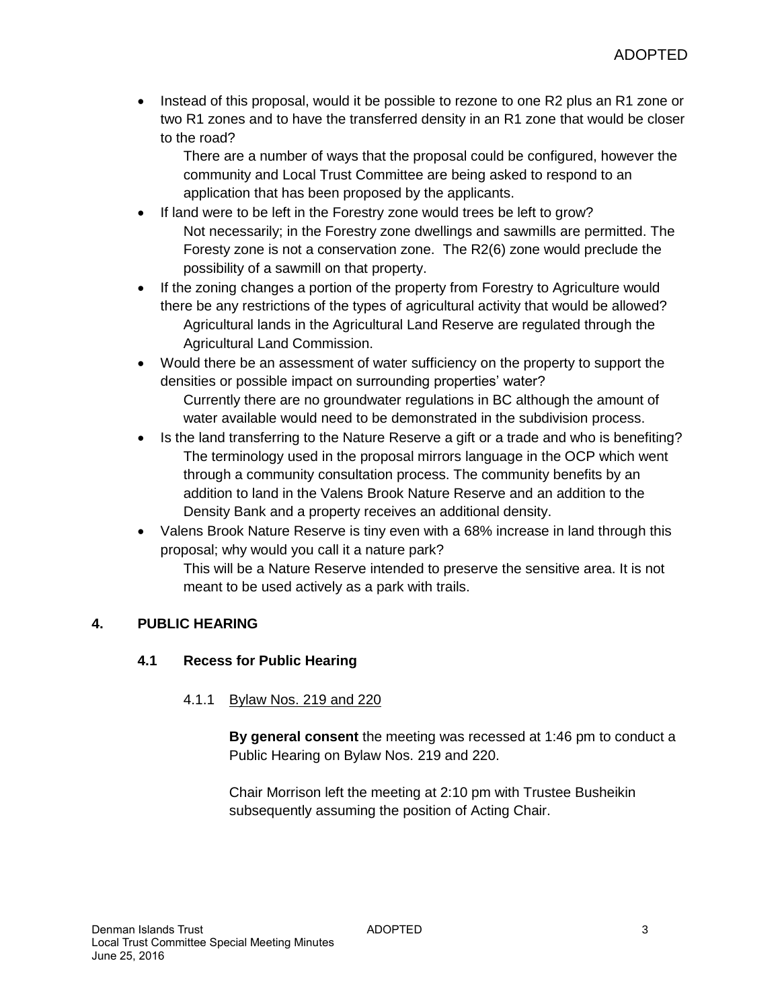• Instead of this proposal, would it be possible to rezone to one R2 plus an R1 zone or two R1 zones and to have the transferred density in an R1 zone that would be closer to the road?

There are a number of ways that the proposal could be configured, however the community and Local Trust Committee are being asked to respond to an application that has been proposed by the applicants.

- If land were to be left in the Forestry zone would trees be left to grow? Not necessarily; in the Forestry zone dwellings and sawmills are permitted. The Foresty zone is not a conservation zone. The R2(6) zone would preclude the possibility of a sawmill on that property.
- If the zoning changes a portion of the property from Forestry to Agriculture would there be any restrictions of the types of agricultural activity that would be allowed? Agricultural lands in the Agricultural Land Reserve are regulated through the Agricultural Land Commission.
- Would there be an assessment of water sufficiency on the property to support the densities or possible impact on surrounding properties' water? Currently there are no groundwater regulations in BC although the amount of water available would need to be demonstrated in the subdivision process.
- Is the land transferring to the Nature Reserve a gift or a trade and who is benefiting? The terminology used in the proposal mirrors language in the OCP which went through a community consultation process. The community benefits by an addition to land in the Valens Brook Nature Reserve and an addition to the Density Bank and a property receives an additional density.
- Valens Brook Nature Reserve is tiny even with a 68% increase in land through this proposal; why would you call it a nature park?

This will be a Nature Reserve intended to preserve the sensitive area. It is not meant to be used actively as a park with trails.

## **4. PUBLIC HEARING**

## **4.1 Recess for Public Hearing**

## 4.1.1 Bylaw Nos. 219 and 220

**By general consent** the meeting was recessed at 1:46 pm to conduct a Public Hearing on Bylaw Nos. 219 and 220.

Chair Morrison left the meeting at 2:10 pm with Trustee Busheikin subsequently assuming the position of Acting Chair.